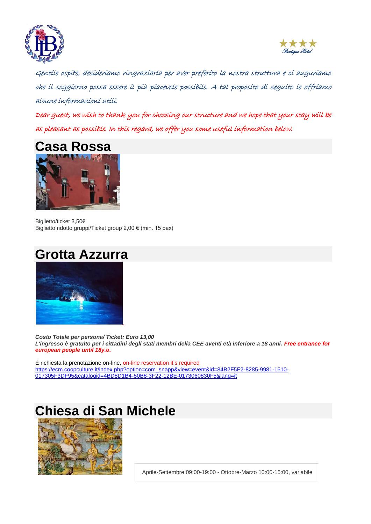



Gentile ospite, desideriamo ringraziarla per aver preferito la nostra struttura e ci auguriamo che il soggiorno possa essere il più piacevole possibile. A tal proposito di seguito le offriamo alcune informazioni utili.

Dear guest, we wish to thank you for choosing our structure and we hope that your stay will be as pleasant as possible. In this regard, we offer you some useful information below.



Biglietto/ticket 3,50€ Biglietto ridotto gruppi/Ticket group 2,00 € (min. 15 pax)





*Costo Totale per persona/ Ticket: Euro 13,00 L'ingresso è gratuito per i cittadini degli stati membri della CEE aventi età inferiore a 18 anni. Free entrance for european people until 18y.o.*

È richiesta la prenotazione on-line, on-line reservation it's required [https://ecm.coopculture.it/index.php?option=com\\_snapp&view=event&id=84B2F5F2-8285-9981-1610-](https://ecm.coopculture.it/index.php?option=com_snapp&view=event&id=84B2F5F2-8285-9981-1610-017305F3DF95&catalogid=4BD8D1B4-50B8-3F22-12BE-0173060830F5&lang=it) [017305F3DF95&catalogid=4BD8D1B4-50B8-3F22-12BE-0173060830F5&lang=it](https://ecm.coopculture.it/index.php?option=com_snapp&view=event&id=84B2F5F2-8285-9981-1610-017305F3DF95&catalogid=4BD8D1B4-50B8-3F22-12BE-0173060830F5&lang=it)

# **Chiesa di San Michele**



Aprile-Settembre 09:00-19:00 - Ottobre-Marzo 10:00-15:00, variabile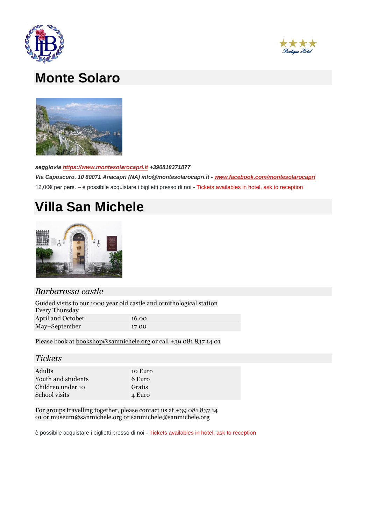



### **Monte Solaro**



*seggiovia [https://www.montesolarocapri.it](https://www.montesolarocapri.it/) +390818371877* 

*Via Caposcuro, 10 80071 Anacapri (NA) info@montesolarocapri.it - [www.facebook.com/montesolarocapri](https://www.facebook.com/montesolarocapri)* 12,00€ per pers. – è possibile acquistare i biglietti presso di noi - Tickets availables in hotel, ask to reception

### **Villa San Michele**



### *Barbarossa castle*

| Guided visits to our 1000 year old castle and ornithological station<br><b>Every Thursday</b> |       |
|-----------------------------------------------------------------------------------------------|-------|
| April and October                                                                             | 16.00 |
| May-September                                                                                 | 17.00 |

Please book at **[bookshop@sanmichele.org](mailto:bookshop@sanmichele.org)** or call +39 081 837 14 01

#### *Tickets*

| Adults             | 10 Euro |
|--------------------|---------|
| Youth and students | 6 Euro  |
| Children under 10  | Gratis  |
| School visits      | 4 Euro  |
|                    |         |

For groups travelling together, please contact us at +39 081 837 14 01 or [museum@sanmichele.org](mailto:museum@sanmichele.org) or [sanmichele@sanmichele.org](mailto:sanmichele@sanmichele.org)

è possibile acquistare i biglietti presso di noi - Tickets availables in hotel, ask to reception